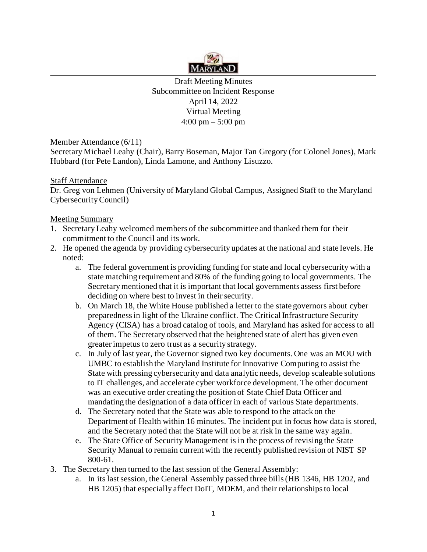

Draft Meeting Minutes Subcommittee on Incident Response April 14, 2022 Virtual Meeting 4:00 pm – 5:00 pm

Member Attendance (6/11)

Secretary Michael Leahy (Chair), Barry Boseman, Major Tan Gregory (for Colonel Jones), Mark Hubbard (for Pete Landon), Linda Lamone, and Anthony Lisuzzo.

## Staff Attendance

Dr. Greg von Lehmen (University of Maryland Global Campus, Assigned Staff to the Maryland Cybersecurity Council)

## Meeting Summary

- 1. Secretary Leahy welcomed members of the subcommittee and thanked them for their commitment to the Council and its work.
- 2. He opened the agenda by providing cybersecurity updates at the national and state levels. He noted:
	- a. The federal government is providing funding for state and local cybersecurity with a state matching requirement and 80% of the funding going to local governments. The Secretary mentioned that it is important that local governments assess first before deciding on where best to invest in their security.
	- b. On March 18, the White House published a letter to the state governors about cyber preparedness in light of the Ukraine conflict. The Critical Infrastructure Security Agency (CISA) has a broad catalog of tools, and Maryland has asked for access to all of them. The Secretary observed that the heightened state of alert has given even greater impetus to zero trust as a security strategy.
	- c. In July of last year, the Governor signed two key documents. One was an MOU with UMBC to establish the Maryland Institute for Innovative Computing to assist the State with pressing cybersecurity and data analytic needs, develop scaleable solutions to IT challenges, and accelerate cyber workforce development. The other document was an executive order creating the position of State Chief Data Officer and mandating the designation of a data officer in each of various State departments.
	- d. The Secretary noted that the State was able to respond to the attack on the Department of Health within 16 minutes. The incident put in focus how data is stored, and the Secretary noted that the State will not be at risk in the same way again.
	- e. The State Office of Security Management is in the process of revising the State Security Manual to remain current with the recently published revision of NIST SP 800-61.
- 3. The Secretary then turned to the last session of the General Assembly:
	- a. In its last session, the General Assembly passed three bills (HB 1346, HB 1202, and HB 1205) that especially affect DoIT, MDEM, and their relationships to local